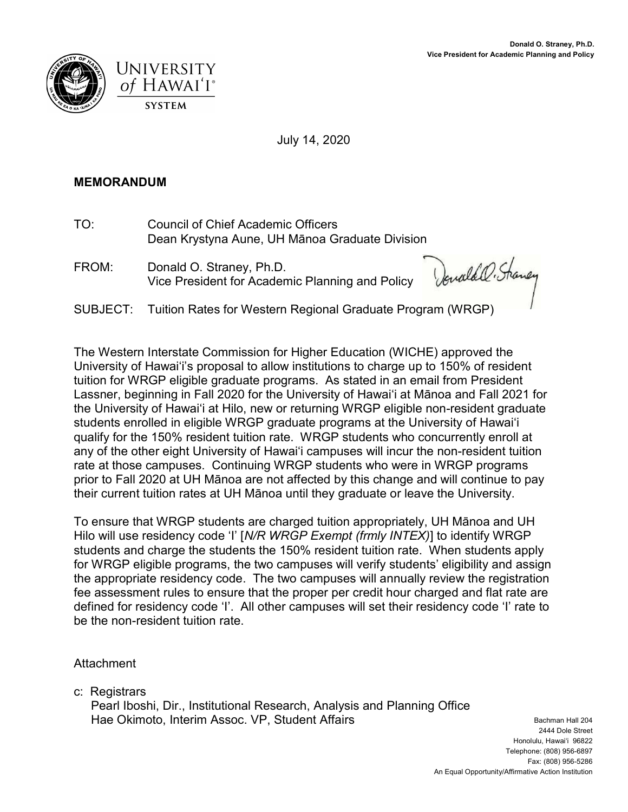



July 14, 2020

## MEMORANDUM

- TO: Council of Chief Academic Officers Dean Krystyna Aune, UH Mānoa Graduate Division
- FROM: Donald O. Straney, Ph.D. Vice President for Academic Planning and Policy

Donald O. Shaney

SUBJECT: Tuition Rates for Western Regional Graduate Program (WRGP)

The Western Interstate Commission for Higher Education (WICHE) approved the University of Hawaiʻi's proposal to allow institutions to charge up to 150% of resident tuition for WRGP eligible graduate programs. As stated in an email from President Lassner, beginning in Fall 2020 for the University of Hawaiʻi at Mānoa and Fall 2021 for the University of Hawaiʻi at Hilo, new or returning WRGP eligible non-resident graduate students enrolled in eligible WRGP graduate programs at the University of Hawaiʻi qualify for the 150% resident tuition rate. WRGP students who concurrently enroll at any of the other eight University of Hawaiʻi campuses will incur the non-resident tuition rate at those campuses. Continuing WRGP students who were in WRGP programs prior to Fall 2020 at UH Mānoa are not affected by this change and will continue to pay their current tuition rates at UH Mānoa until they graduate or leave the University.

To ensure that WRGP students are charged tuition appropriately, UH Mānoa and UH Hilo will use residency code 'I' [N/R WRGP Exempt (frmly INTEX)] to identify WRGP students and charge the students the 150% resident tuition rate. When students apply for WRGP eligible programs, the two campuses will verify students' eligibility and assign the appropriate residency code. The two campuses will annually review the registration fee assessment rules to ensure that the proper per credit hour charged and flat rate are defined for residency code 'I'. All other campuses will set their residency code 'I' rate to be the non-resident tuition rate.

**Attachment** 

c: Registrars

 Pearl Iboshi, Dir., Institutional Research, Analysis and Planning Office Hae Okimoto, Interim Assoc. VP, Student Affairs Bachman Hall 204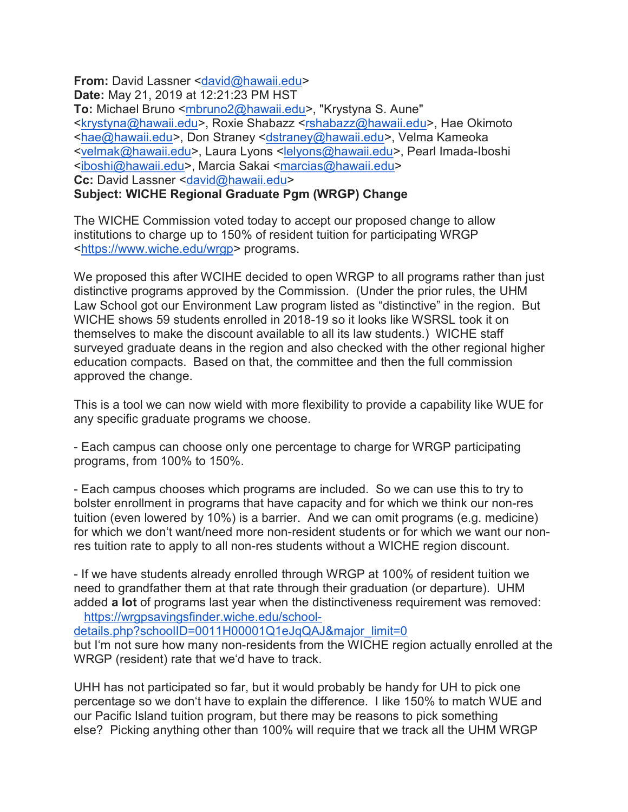From: David Lassner <david@hawaii.edu> Date: May 21, 2019 at 12:21:23 PM HST

To: Michael Bruno <mbruno2@hawaii.edu>, "Krystyna S. Aune" <krystyna@hawaii.edu>, Roxie Shabazz <rshabazz@hawaii.edu>, Hae Okimoto <hae@hawaii.edu>, Don Straney <dstraney@hawaii.edu>, Velma Kameoka <velmak@hawaii.edu>, Laura Lyons <lelyons@hawaii.edu>, Pearl Imada-Iboshi <iboshi@hawaii.edu>, Marcia Sakai <marcias@hawaii.edu> Cc: David Lassner <david@hawaii.edu>

Subject: WICHE Regional Graduate Pgm (WRGP) Change

The WICHE Commission voted today to accept our proposed change to allow institutions to charge up to 150% of resident tuition for participating WRGP <https://www.wiche.edu/wrgp> programs.

We proposed this after WCIHE decided to open WRGP to all programs rather than just distinctive programs approved by the Commission. (Under the prior rules, the UHM Law School got our Environment Law program listed as "distinctive" in the region. But WICHE shows 59 students enrolled in 2018-19 so it looks like WSRSL took it on themselves to make the discount available to all its law students.) WICHE staff surveyed graduate deans in the region and also checked with the other regional higher education compacts. Based on that, the committee and then the full commission approved the change.

This is a tool we can now wield with more flexibility to provide a capability like WUE for any specific graduate programs we choose.

- Each campus can choose only one percentage to charge for WRGP participating programs, from 100% to 150%.

- Each campus chooses which programs are included. So we can use this to try to bolster enrollment in programs that have capacity and for which we think our non-res tuition (even lowered by 10%) is a barrier. And we can omit programs (e.g. medicine) for which we donʻt want/need more non-resident students or for which we want our nonres tuition rate to apply to all non-res students without a WICHE region discount.

- If we have students already enrolled through WRGP at 100% of resident tuition we need to grandfather them at that rate through their graduation (or departure). UHM added a lot of programs last year when the distinctiveness requirement was removed: https://wrgpsavingsfinder.wiche.edu/school-

details.php?schoolID=0011H00001Q1eJqQAJ&major\_limit=0

but Iʻm not sure how many non-residents from the WICHE region actually enrolled at the WRGP (resident) rate that weʻd have to track.

UHH has not participated so far, but it would probably be handy for UH to pick one percentage so we donʻt have to explain the difference. I like 150% to match WUE and our Pacific Island tuition program, but there may be reasons to pick something else? Picking anything other than 100% will require that we track all the UHM WRGP